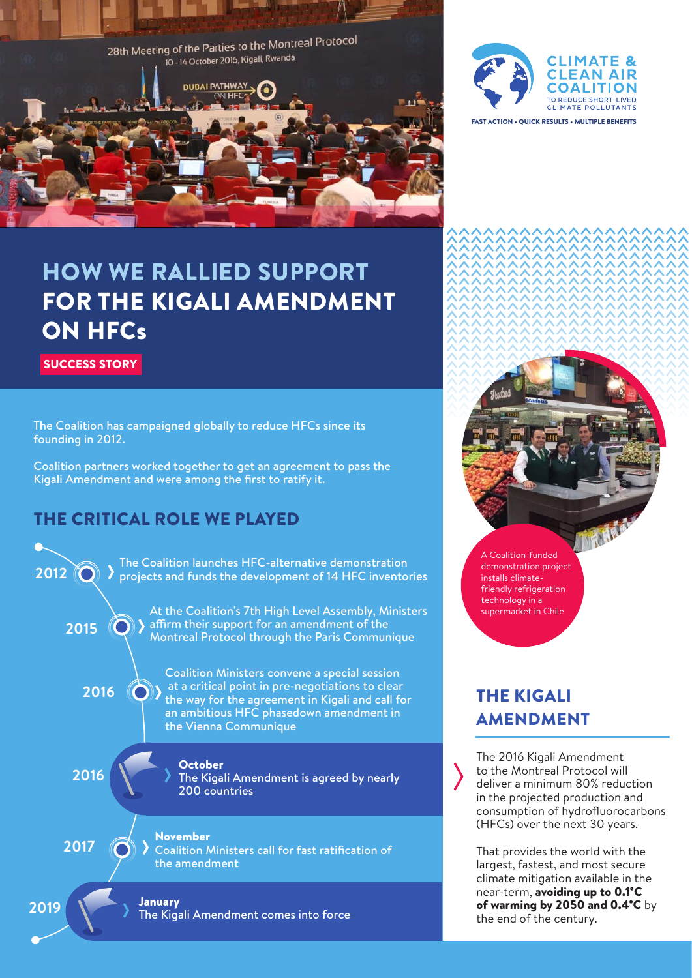



FAST ACTION • QUICK RESULTS • MULTIPLE BENEFITS

# HOW WE RALLIED SUPPORT FOR THE KIGALI AMENDMENT ON HFCs

SUCCESS STORY

The Coalition has campaigned globally to reduce HFCs since its founding in 2012.

Coalition partners worked together to get an agreement to pass the Kigali Amendment and were among the first to ratify it.

#### THE CRITICAL ROLE WE PLAYED



A Coalition-funded demonstration project installs climatefriendly refrigeration technology in a supermarket in Chile

## THE KIGALI AMENDMENT

The 2016 Kigali Amendment to the Montreal Protocol will deliver a minimum 80% reduction in the projected production and consumption of hydrofluorocarbons (HFCs) over the next 30 years.

That provides the world with the largest, fastest, and most secure climate mitigation available in the near-term, avoiding up to 0.1°C of warming by 2050 and 0.4°C by the end of the century.